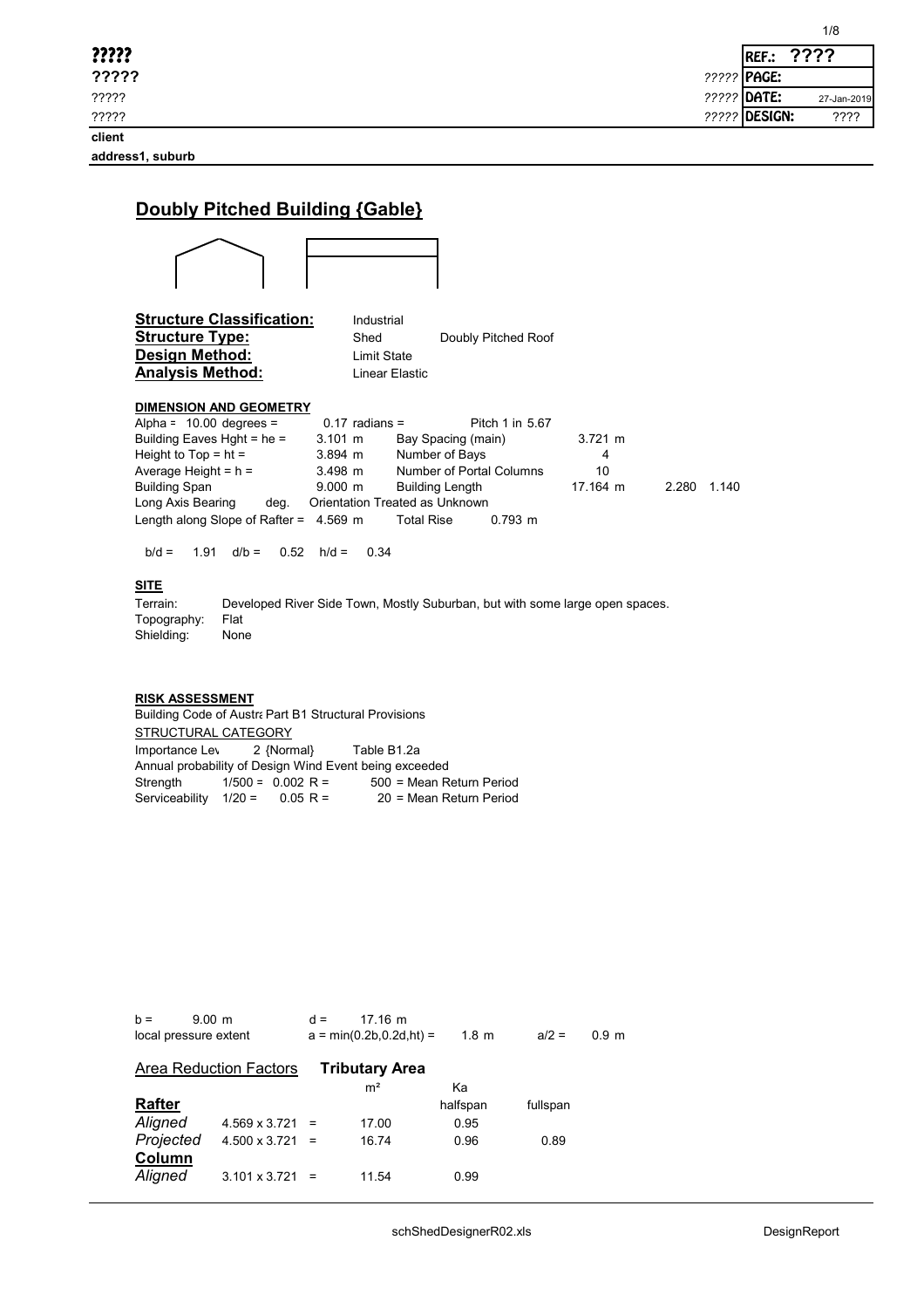| ????? | ????<br><b>REF.:</b>         |
|-------|------------------------------|
| ????? | ????? <b>PAGE:</b>           |
| ????? | 22222 DATE:<br>27-Jan-2019   |
| ????? | <b>22222 DESIGN:</b><br>???? |

1/8

| Doubly Pitched Building {Gable}                                                                                                                                                                                                                                                                                                                                                                                                                                                                                                                                                |
|--------------------------------------------------------------------------------------------------------------------------------------------------------------------------------------------------------------------------------------------------------------------------------------------------------------------------------------------------------------------------------------------------------------------------------------------------------------------------------------------------------------------------------------------------------------------------------|
|                                                                                                                                                                                                                                                                                                                                                                                                                                                                                                                                                                                |
| <b>Structure Classification:</b><br>Industrial<br><b>Structure Type:</b><br>Shed<br>Doubly Pitched Roof<br>Design Method:<br><b>Limit State</b><br><b>Analysis Method:</b><br>I inear Flastic                                                                                                                                                                                                                                                                                                                                                                                  |
| <b>DIMENSION AND GEOMETRY</b><br>Alpha = $10.00$ degrees =<br>$0.17$ radians =<br>Pitch 1 in 567<br>Building Eaves Hght = $he =$<br>$3.101 \; \text{m}$<br>3 721 m<br>Bay Spacing (main)<br>Height to $Top = ht =$<br>Number of Bays<br>$3.894 \; m$<br>4<br>Average Height = $h =$<br>Number of Portal Columns<br>10<br>$3.498$ m<br>17 164 m<br><b>Building Span</b><br>$9.000$ m<br>2 2 8 0<br><b>Building Length</b><br>1.140<br>Orientation Treated as Unknown<br>Long Axis Bearing<br>deg.<br>Length along Slope of Rafter = $4.569$ m<br><b>Total Rise</b><br>$0.793$ m |
| $b/d =$<br>1.91<br>$d/b = 0.52$<br>0.34<br>$h/d =$<br><b>SITE</b><br>Terrain:<br>Developed River Side Town, Mostly Suburban, but with some large open spaces.<br>Flat<br>Topography:<br>Shielding:<br>None                                                                                                                                                                                                                                                                                                                                                                     |

# **RISK ASSESSMENT**

Building Code of Austra Part B1 Structural Provisions STRUCTURAL CATEGORY Importance Level 2 {Normal} Table B1.2a Annual probability of Design Wind Event being exceeded<br>Strength 1/500 = 0.002 R = 500 = Mean R oo<br>500 = Mean Return Period<br>20 = Mean Return Period Serviceability  $1/20 = 0.05$  R =

| $h =$     | $9.00 \; m$<br>local pressure extent | $d =$    | $17.16 \; m$<br>$a = min(0.2b.0.2d, ht) =$ | $1.8 \text{ m}$ | $a/2 =$  | 0.9 <sub>m</sub> |
|-----------|--------------------------------------|----------|--------------------------------------------|-----------------|----------|------------------|
|           |                                      |          |                                            |                 |          |                  |
|           | <b>Area Reduction Factors</b>        |          | <b>Tributary Area</b>                      |                 |          |                  |
|           |                                      |          | m <sup>2</sup>                             | Kа              |          |                  |
| Rafter    |                                      |          |                                            | halfspan        | fullspan |                  |
| Aligned   | 4.569 x 3.721                        | $=$      | 17.00                                      | 0.95            |          |                  |
| Projected | $4.500 \times 3.721 =$               |          | 16.74                                      | 0.96            | 0.89     |                  |
| Column    |                                      |          |                                            |                 |          |                  |
| Aligned   | 3.101 x 3.721                        | $\equiv$ | 11.54                                      | 0.99            |          |                  |
|           |                                      |          |                                            |                 |          |                  |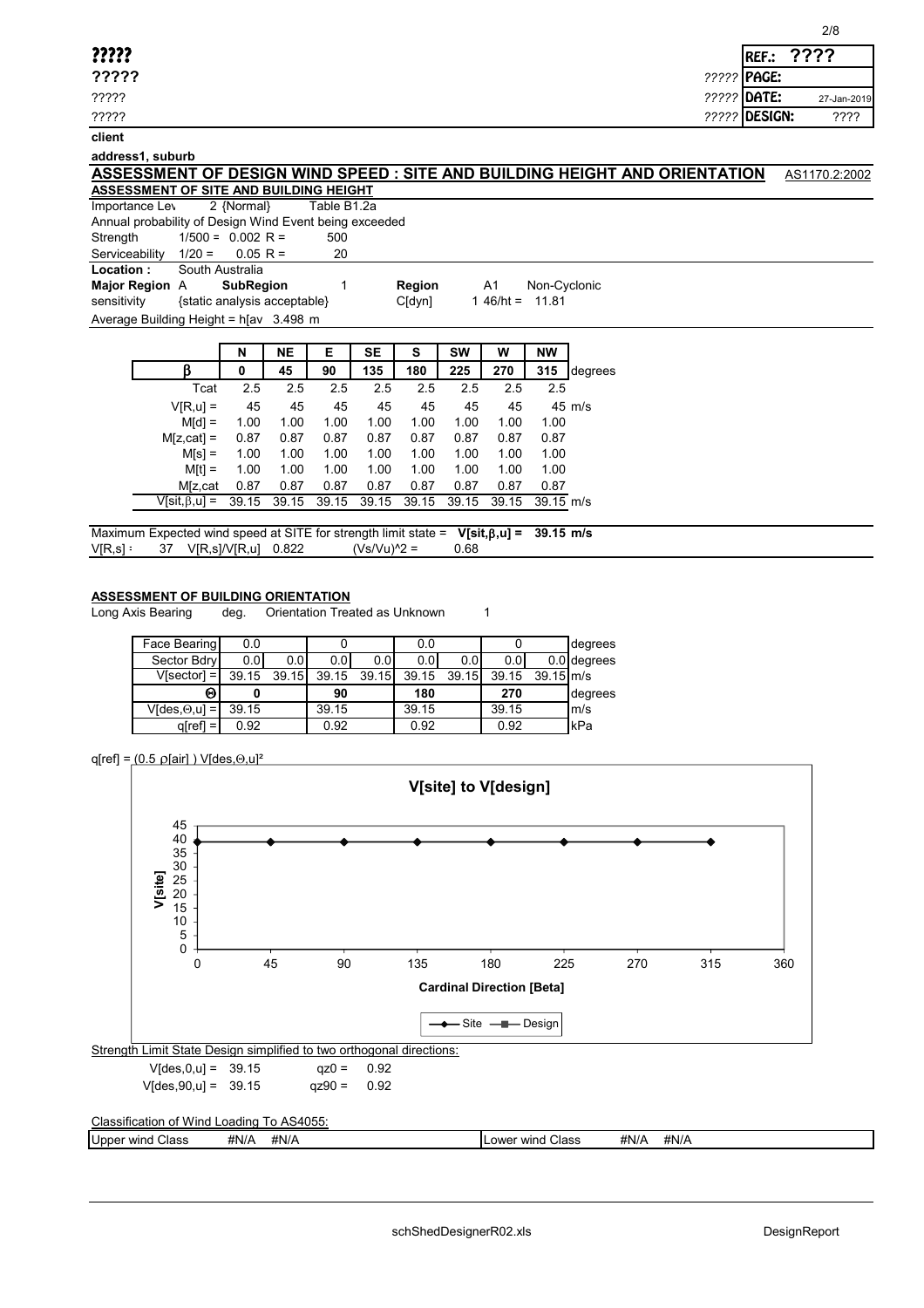| ?????       |
|-------------|
| <b>ממממ</b> |

#### **address1, suburb**

|                                        |           |            |  | ASSESSMENT OF DESIGN WIND SPEED : SITE AND BUILDING HEIGHT AND ORIENTATION | AS1170.2:2002 |
|----------------------------------------|-----------|------------|--|----------------------------------------------------------------------------|---------------|
| ASSESSMENT OF SITE AND BUILDING HEIGHT |           |            |  |                                                                            |               |
| Importance Lou                         | ) Mormall | TableD4.2a |  |                                                                            |               |

Importance Levell 2 {Normal} Table B1.2a Annual probability of Design Wind Event being exceeded

Strength  $1/500 = 0.002$  R = 500

Serviceability  $1/20 = 0.05$  R = 20

**Location :** South Australia

**Major Region** A **SubRegion** 1 **Region** A1 Non-Cyclonic sensitivity {static analysis acceptable} C[dyn] 1 46/ht = 11.81

Average Building Height =  $h$ [av 3.498 m

|                      | N     | <b>NE</b> | Е     | <b>SE</b> | s     | sw    | W     | NW          |                  |
|----------------------|-------|-----------|-------|-----------|-------|-------|-------|-------------|------------------|
|                      | 0     | 45        | 90    | 135       | 180   | 225   | 270   | 315         | degrees          |
| Tcat                 | 2.5   | 2.5       | 2.5   | 2.5       | 2.5   | 2.5   | 2.5   | 2.5         |                  |
| $V[R, u] =$          | 45    | 45        | 45    | 45        | 45    | 45    | 45    |             | $45 \text{ m/s}$ |
| $M[d] =$             | 1.00  | 1.00      | 1.00  | 1.00      | 1.00  | 1.00  | 1.00  | 1.00        |                  |
| $M[z, cat] =$        | 0.87  | 0.87      | 0.87  | 0.87      | 0.87  | 0.87  | 0.87  | 0.87        |                  |
| $M[s] =$             | 1.00  | 1.00      | 1.00  | 1.00      | 1.00  | 1.00  | 1.00  | 1.00        |                  |
| $M[t] =$             | 1.00  | 1.00      | 1.00  | 1.00      | 1.00  | 1.00  | 1.00  | 1.00        |                  |
| M[z,cat              | 0.87  | 0.87      | 0.87  | 0.87      | 0.87  | 0.87  | 0.87  | 0.87        |                  |
| $V[sit, \beta, u] =$ | 39.15 | 39.15     | 39.15 | 39.15     | 39.15 | 39.15 | 39.15 | $39.15$ m/s |                  |
|                      |       |           |       |           |       |       |       |             |                  |

Maximum Expected wind speed at SITE for strength limit state = **V[sit,**b**,u] = 39.15 m/s**  $V[R,s]$  = 37  $V[R,s]/V[R,u]$  0.822  $(Vs/Vu)^{2}$  = 0.68

### **ASSESSMENT OF BUILDING ORIENTATION**

Long Axis Bearing deg. Orientation Treated as Unknown 1

| Face Bearing                            | 0.0   |       |       |       | 0.0              |       |       |                       | degrees       |
|-----------------------------------------|-------|-------|-------|-------|------------------|-------|-------|-----------------------|---------------|
| Sector Bdry                             | 0.01  | 0.01  | 0.01  | 0.01  | 0.0 <sub>l</sub> | 0.0   | 0.0   |                       | $0.0$ degrees |
| $V[sector] =$                           | 39.15 | 39.15 | 39.15 | 39.15 | 39.15            | 39.15 | 39.15 | $39.15 \, \text{m/s}$ |               |
| Θ                                       |       |       | 90    |       | 180              |       | 270   |                       | degrees       |
| $V$ [des, $\Theta,$ u] = $\blacksquare$ | 39.15 |       | 39.15 |       | 39.15            |       | 39.15 |                       | lm/s          |
| $q$ [ref] =                             | 0.92  |       | 0.92  |       | 0.92             |       | 0.92  |                       | kPa           |

## $q[ref] = (0.5 \rho[air]) \text{ V}[des, \Theta, u]^2$



Upper wind Class #N/A #N/A **AN/A Lower wind Class** #N/A #N/A

????? REF.: 2007. REF.: 2008. REF.: 2008. REF.: 2008. REF.: 2008. REF.: 2008. REF.: 2008. REF.: 2008. REF.: 20 **?????** *?????* PAGE: ????? *?????* DATE: **????** 27-Jan-2019

????? *?????* DESIGN: ????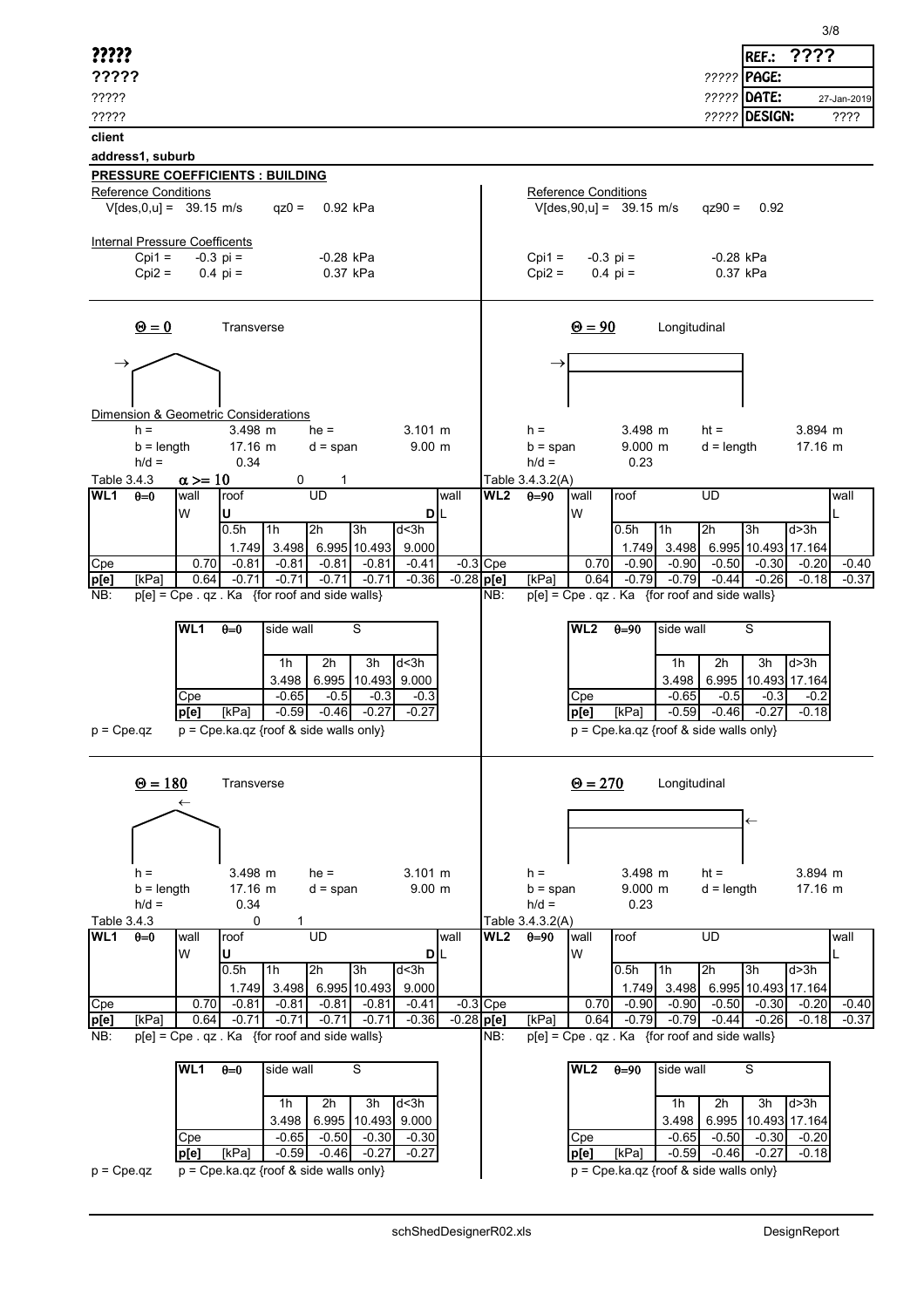| ?????                                                                                                                                                  | ????<br>REF.:                                                                                                                              |
|--------------------------------------------------------------------------------------------------------------------------------------------------------|--------------------------------------------------------------------------------------------------------------------------------------------|
| ?????                                                                                                                                                  | ????? PAGE:                                                                                                                                |
| ?????                                                                                                                                                  | ????? DATE:<br>27-Jan-2019                                                                                                                 |
| ?????                                                                                                                                                  | ????? DESIGN:<br>????                                                                                                                      |
| client                                                                                                                                                 |                                                                                                                                            |
| address1, suburb                                                                                                                                       |                                                                                                                                            |
| <b>PRESSURE COEFFICIENTS : BUILDING</b><br><b>Reference Conditions</b>                                                                                 | Reference Conditions                                                                                                                       |
| $V[des, 0, u] = 39.15$ m/s<br>$qz0 =$<br>0.92 kPa                                                                                                      | $V[des, 90, u] = 39.15$ m/s<br>$qz90 =$<br>0.92                                                                                            |
| Internal Pressure Coefficents                                                                                                                          |                                                                                                                                            |
| $Cpi1 =$<br>$-0.3$ pi =<br>$-0.28$ kPa<br>$Cpi2 =$<br>$0.4 \text{pi} =$<br>0.37 kPa                                                                    | $-0.3$ pi =<br>$Cpi1 =$<br>-0.28 kPa<br>$Cpi2 =$<br>$0.4 \text{ pi} =$<br>0.37 kPa                                                         |
| $\mathbf{\Theta} = \mathbf{0}$<br>Transverse                                                                                                           | $\Theta = 90$<br>Longitudinal                                                                                                              |
|                                                                                                                                                        | $\rightarrow$                                                                                                                              |
| Dimension & Geometric Considerations                                                                                                                   |                                                                                                                                            |
| $h =$<br>$3.498$ m<br>$he =$<br>$3.101 \; m$                                                                                                           | $3.894$ m<br>3.498 m<br>$h =$<br>$ht =$                                                                                                    |
| 17.16 m<br>9.00 m<br>$b = length$<br>$d = span$<br>$h/d =$<br>0.34                                                                                     | $9.000$ m<br>$d =$ length<br>$17.16 \; m$<br>$b = span$<br>$h/d =$<br>0.23                                                                 |
| $\alpha >= 10$<br>Table 3.4.3<br>0                                                                                                                     | Table 3.4.3.2(A)                                                                                                                           |
| $\overline{UD}$<br>WL1<br>$heta=0$<br>roof<br>wall<br>wall                                                                                             | $\overline{\textsf{WL2}}$<br>$\overline{UD}$<br>roof<br>$0=90$<br>wall<br>wall                                                             |
| W<br>U<br>DIL<br>0.5h<br>1 <sub>h</sub><br>2h<br>3h<br>d<3h                                                                                            | W<br>2h<br>0.5h<br>1 <sub>h</sub><br>3h<br>d > 3h                                                                                          |
| 1.749 3.498 6.995 10.493<br>9.000                                                                                                                      | 1.749 3.498<br>6.995 10.493 17.164                                                                                                         |
| $-0.3$ Cpe<br>Cpe<br>0.70<br>$-0.81$<br>$-0.81$<br>$-0.81$<br>$-0.81$<br>$-0.41$                                                                       | 0.70<br>$-0.90$<br>$-0.40$<br>$-0.90$<br>$-0.50$<br>$-0.30$<br>$-0.20$                                                                     |
| $-0.28$ p[e]<br>$-0.71$<br>$-0.71$<br>$-0.71$<br>$-0.71$<br>$-0.36$<br>p[e]<br>[kPa]<br>0.64<br>$p[e] = Cpe$ . qz. Ka {for roof and side walls}<br>NB: | $-0.79$<br>$-0.79$<br>$-0.44$<br>[kPa]<br>0.64<br>$-0.26$<br>$-0.18$<br>$-0.37$<br>$p[e]$ = Cpe . qz . Ka {for roof and side walls}<br>NB: |
|                                                                                                                                                        |                                                                                                                                            |
| WL1<br>$\theta = 0$<br>side wall<br>S                                                                                                                  | WL2<br>$\theta = 90$<br>side wall<br>S                                                                                                     |
| 3h<br>d<3h<br>1h<br>2h                                                                                                                                 | 3h<br>d > 3h<br>1h<br>2h                                                                                                                   |
| 3.498<br>6.995 10.493 9.000                                                                                                                            | 6.995 10.493 17.164<br>3.498                                                                                                               |
| $-0.65$<br>$-0.5$<br>Cpe<br>$-0.3$<br>$-0.3$                                                                                                           | $-0.65$<br>$-0.5$<br>Cpe<br>$-0.3$<br>$-0.2$                                                                                               |
| $-0.59$<br>[kPa]<br>$-0.46$<br>$-0.27$<br>$-0.27$<br> p[e]<br>$p = Cpe.ka.qz$ {roof & side walls only}<br>$p = Cpe.qz$                                 | $-0.59$<br>[kPa]<br>$-0.46$<br>$-0.27$<br>$-0.18$<br> p[e]<br>$p = Cpe.ka.qz$ {roof & side walls only}                                     |
|                                                                                                                                                        |                                                                                                                                            |
| $\Theta = 180$<br>Transverse                                                                                                                           | $\Theta = 270$<br>Longitudinal                                                                                                             |
|                                                                                                                                                        |                                                                                                                                            |
|                                                                                                                                                        | $\leftarrow$                                                                                                                               |
|                                                                                                                                                        |                                                                                                                                            |
| 3.498 m<br>$he =$<br>$3.101 \; m$<br>$h =$                                                                                                             | 3.498 m<br>$ht =$<br>3.894 m<br>$h =$                                                                                                      |
| 17.16 m<br>$b = length$<br>9.00 m<br>$d = span$                                                                                                        | 9.000 m<br>$d = length$<br>17.16 m<br>$b = span$                                                                                           |
| $h/d =$<br>0.34<br>Table 3.4.3<br>0<br>1.                                                                                                              | $h/d =$<br>0.23<br>Table 3.4.3.2(A)                                                                                                        |
| UD<br>WL1<br>$\theta = 0$<br>roof<br>wall<br>wall                                                                                                      | <b>UD</b><br>WL2<br>$\theta = 90$<br>wall<br>roof<br>wall                                                                                  |
| W<br>U<br>DIL<br>1h<br>2h<br>3h<br>0.5h<br>d<3h                                                                                                        | W<br>2h<br>3h<br>0.5h<br>1 <sub>h</sub><br>d > 3h                                                                                          |
| 6.995 10.493<br>1.749 3.498<br>9.000                                                                                                                   | 6.995 10.493 17.164<br>1.749 3.498                                                                                                         |
| $-0.3$ Cpe<br>Cpe<br>0.70<br>$-0.81$<br>$-0.81$<br>$-0.81$<br>$-0.81$<br>$-0.41$                                                                       | 0.70<br>$-0.90$<br>$-0.50$<br>$-0.40$<br>$-0.90$<br>$-0.30$<br>$-0.20$                                                                     |
| $-0.36$<br>$-0.28$ p[e]<br>[kPa]<br>0.64<br>$-0.71$<br>$-0.71$<br>$-0.71$<br>$-0.71$<br>p[e]                                                           | $-0.79$<br>$-0.26$<br>$-0.37$<br>[kPa]<br>0.64<br>$-0.79$<br>$-0.44$<br>$-0.18$<br>NB:                                                     |
| p[e] = Cpe . qz . Ka {for roof and side walls}<br>NB:<br>WL1<br>$\theta = 0$<br>S                                                                      | p[e] = Cpe . qz . Ka {for roof and side walls}<br>side wall<br>WL <sub>2</sub><br>$\theta = 90$<br>S                                       |
| side wall                                                                                                                                              |                                                                                                                                            |
| 2h<br>d<3h<br>1h<br>3h                                                                                                                                 | 2h<br>d > 3h<br>1h<br>3h                                                                                                                   |
| 3.498<br>6.995 10.493<br>9.000                                                                                                                         | 3.498<br>6.995<br>10.493 17.164                                                                                                            |
| $-0.65$<br>$-0.50$<br>$-0.30$<br>$-0.30$<br>Cpe<br>[kPa]<br>$-0.59$<br>$-0.46$<br>$-0.27$<br>$-0.27$<br>p[e]                                           | $-0.50$<br>$-0.65$<br>$-0.30$<br>Cpe<br>$-0.20$<br>$-0.59$<br>[kPa]<br>$-0.46$<br> p[e]<br>$-0.27$<br>$-0.18$                              |
| $p = Cpe.ka.qz$ {roof & side walls only}<br>$p = Cpe.qz$                                                                                               | $p = Cpe.ka.qz$ {roof & side walls only}                                                                                                   |
|                                                                                                                                                        |                                                                                                                                            |

3/8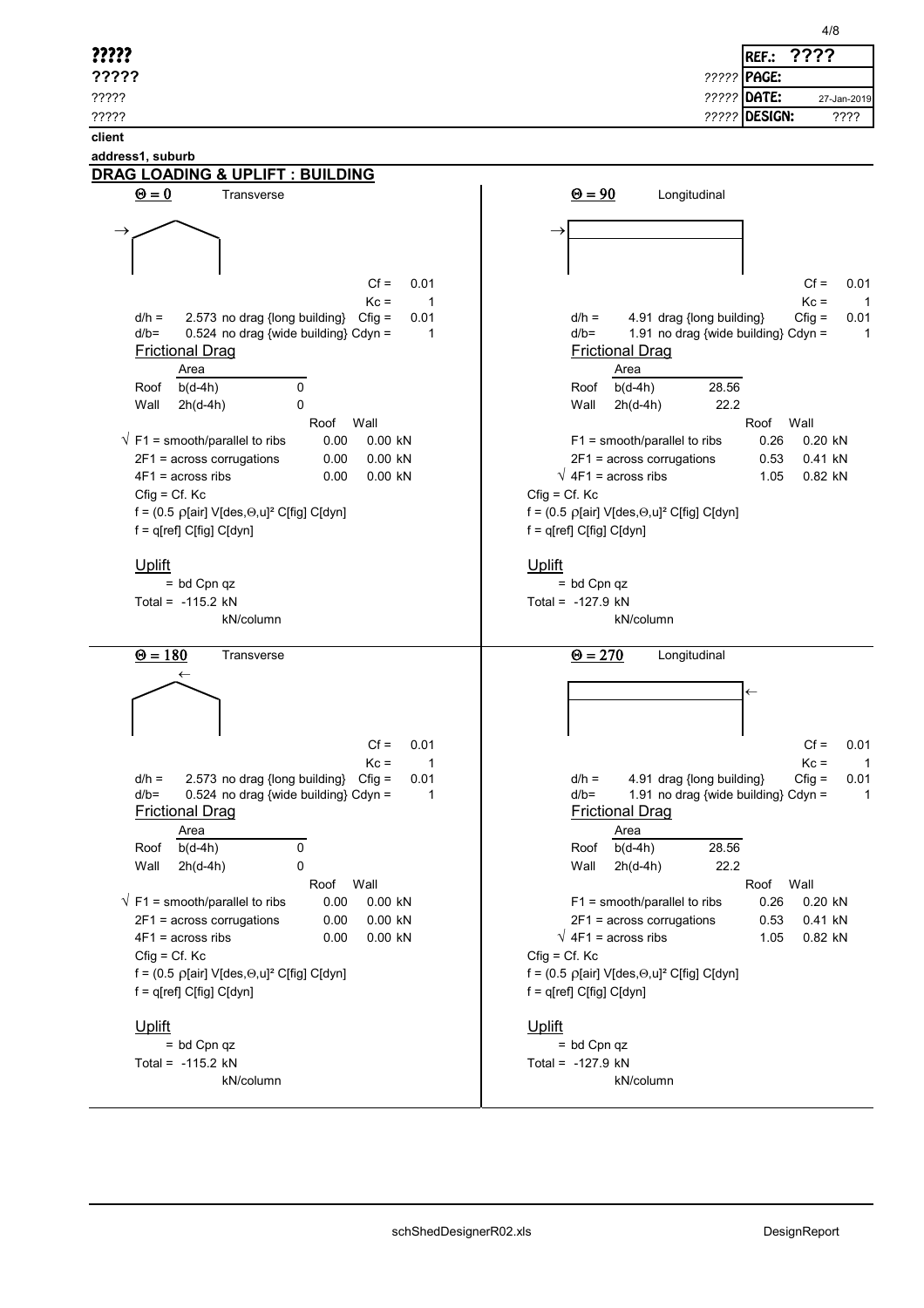|                                                                                                                                                                                                    | 4/8                                                                                                                                             |
|----------------------------------------------------------------------------------------------------------------------------------------------------------------------------------------------------|-------------------------------------------------------------------------------------------------------------------------------------------------|
| ?????                                                                                                                                                                                              | ????<br>REF.:                                                                                                                                   |
| ?????                                                                                                                                                                                              | ????? PAGE:                                                                                                                                     |
| ?????                                                                                                                                                                                              | ????? DATE:<br>27-Jan-2019                                                                                                                      |
| ?????                                                                                                                                                                                              | ????? DESIGN:<br>????                                                                                                                           |
| client                                                                                                                                                                                             |                                                                                                                                                 |
| address1, suburb                                                                                                                                                                                   |                                                                                                                                                 |
| DRAG LOADING & UPLIFT : BUILDING                                                                                                                                                                   |                                                                                                                                                 |
| $\Theta = 0$<br>Transverse                                                                                                                                                                         | $\underline{\Theta} = 90$<br>Longitudinal                                                                                                       |
|                                                                                                                                                                                                    |                                                                                                                                                 |
|                                                                                                                                                                                                    |                                                                                                                                                 |
|                                                                                                                                                                                                    |                                                                                                                                                 |
| $Cf =$<br>0.01                                                                                                                                                                                     | $Cf =$<br>0.01                                                                                                                                  |
| $Kc =$<br>$\overline{1}$                                                                                                                                                                           | $Kc =$<br>$\overline{1}$                                                                                                                        |
| $d/h =$<br>2.573 no drag {long building}<br>$Cfig =$<br>0.01<br>$d/b =$<br>0.524 no drag {wide building} Cdyn =<br>1                                                                               | 4.91 drag {long building}<br>$Cfig =$<br>$d/h =$<br>0.01<br>1.91 no drag {wide building} Cdyn =<br>$d/b =$<br>$\mathbf{1}$                      |
| <b>Frictional Drag</b>                                                                                                                                                                             | <b>Frictional Drag</b>                                                                                                                          |
| Area                                                                                                                                                                                               | Area                                                                                                                                            |
| $\mathbf 0$<br>Roof<br>$b(d-4h)$                                                                                                                                                                   | 28.56<br>$b(d-4h)$<br>Roof                                                                                                                      |
| $\Omega$<br>Wall<br>$2h(d-4h)$                                                                                                                                                                     | 22.2<br>Wall<br>$2h(d-4h)$                                                                                                                      |
| Roof<br>Wall<br>$\sqrt{F1}$ = smooth/parallel to ribs<br>0.00<br>0.00 kN                                                                                                                           | Roof<br>Wall<br>$F1$ = smooth/parallel to ribs<br>0.26<br>0.20 kN                                                                               |
| 2F1 = across corrugations<br>0.00 kN<br>0.00                                                                                                                                                       | $2F1$ = across corrugations<br>0.41 kN<br>0.53                                                                                                  |
| $4F1$ = across ribs<br>0.00 kN<br>0.00                                                                                                                                                             | $\sqrt{4F1}$ = across ribs<br>0.82 kN<br>1.05                                                                                                   |
| $Cfig = Cf. Kc$                                                                                                                                                                                    | $Cfig = Cf. Kc$                                                                                                                                 |
| f = $(0.5 \text{ }\rho[\text{air}] \text{ } \text{V}[{\text{des}},\Theta,\text{u}]^2 \text{ } \text{ } \text{ } \text{ } \text{ } C[\text{fig}] \text{ } \text{ } \text{ } \text{ } C[\text{dyn}]$ | f = $(0.5 \text{ }\rho[\text{air}] \text{ } \text{V}[\text{des},\Theta,\text{u}]^2 \text{ } \text{C}[\text{fig}] \text{ } \text{C}[\text{dyn}]$ |
| f = q[ref] C[fig] C[dyn]                                                                                                                                                                           | f = q[ref] C[fig] C[dyn]                                                                                                                        |
| Uplift                                                                                                                                                                                             | Uplift                                                                                                                                          |
| $=$ bd Cpn qz                                                                                                                                                                                      | $=$ bd Cpn qz                                                                                                                                   |
| Total = $-115.2$ kN                                                                                                                                                                                | Total = $-127.9$ kN                                                                                                                             |
| kN/column                                                                                                                                                                                          | kN/column                                                                                                                                       |
| $\Theta = 180$<br>Transverse                                                                                                                                                                       | $\Theta = 270$<br>Longitudinal                                                                                                                  |
| $\leftarrow$                                                                                                                                                                                       |                                                                                                                                                 |
|                                                                                                                                                                                                    |                                                                                                                                                 |
|                                                                                                                                                                                                    |                                                                                                                                                 |
| $Cf =$<br>0.01                                                                                                                                                                                     | $Cf =$<br>0.01                                                                                                                                  |
| $Kc =$<br>$\overline{1}$                                                                                                                                                                           | $Kc =$<br>$\overline{1}$                                                                                                                        |
| $d/h =$<br>2.573 no drag {long building} Cfig =<br>0.01                                                                                                                                            | $d/h =$<br>4.91 drag {long building}<br>$Cfig =$<br>0.01                                                                                        |
| $d/b =$<br>0.524 no drag {wide building} Cdyn =<br>1<br><b>Frictional Drag</b>                                                                                                                     | 1.91 no drag {wide building} Cdyn =<br>$d/b=$<br>$\overline{1}$<br><b>Frictional Drag</b>                                                       |
| Area                                                                                                                                                                                               | Area                                                                                                                                            |
| $b(d-4h)$<br>0<br>Roof                                                                                                                                                                             | 28.56<br>$b(d-4h)$<br>Roof                                                                                                                      |
| Wall<br>$2h(d-4h)$<br>0                                                                                                                                                                            | $2h(d-4h)$<br>22.2<br>Wall                                                                                                                      |
| Wall<br>Roof<br>$\sqrt{F1}$ = smooth/parallel to ribs<br>0.00<br>0.00 kN                                                                                                                           | Wall<br>Roof<br>$F1$ = smooth/parallel to ribs<br>0.26<br>0.20 kN                                                                               |
| 2F1 = across corrugations<br>0.00<br>0.00 kN                                                                                                                                                       | 2F1 = across corrugations<br>0.41 kN<br>0.53                                                                                                    |
| $4F1$ = across ribs<br>0.00 kN<br>0.00                                                                                                                                                             | $\sqrt{4F1}$ = across ribs<br>0.82 kN<br>1.05                                                                                                   |
| $Cfig = Cf. Kc$                                                                                                                                                                                    | $Cfig = Cf. Kc$                                                                                                                                 |
| $f = (0.5 \text{ p}[\text{air}] \text{ V}[\text{des}, \Theta, u]^2 \text{ C}[\text{fig}] \text{ C}[\text{dyn}]$                                                                                    | $f = (0.5 \text{ }\rho[\text{air}] \text{ } \text{V[des,}\Theta,\text{u}]^2 \text{ } \text{C[fig]} \text{ } \text{C[dyn]}$                      |
| f = q[ref] C[fig] C[dyn]                                                                                                                                                                           | f = q[ref] C[fig] C[dyn]                                                                                                                        |
| <b>Uplift</b>                                                                                                                                                                                      | <b>Uplift</b>                                                                                                                                   |
| $=$ bd Cpn qz                                                                                                                                                                                      | $=$ bd Cpn qz                                                                                                                                   |
| Total = $-115.2$ kN                                                                                                                                                                                | Total = $-127.9$ kN                                                                                                                             |
| kN/column                                                                                                                                                                                          | kN/column                                                                                                                                       |
|                                                                                                                                                                                                    |                                                                                                                                                 |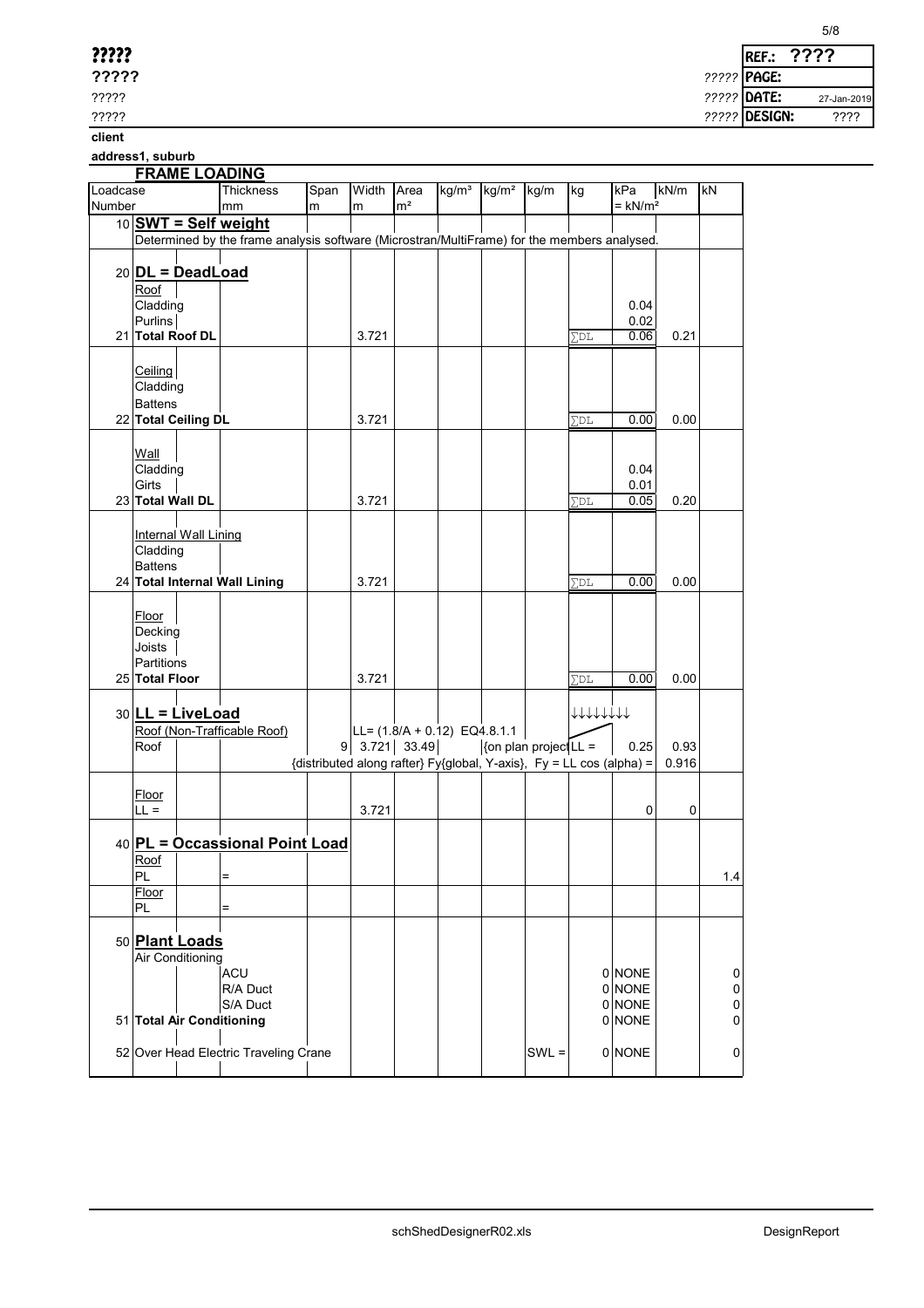| ????? |             | <b>IREF.:</b> |
|-------|-------------|---------------|
| ????? | ????? PAGE: |               |

????? *?????* DATE:

????? *?????* DESIGN: ????

**client**

**address1, suburb**

# **FRAME LOADING**

| Loadcase | 11                          | <b>Thickness</b>                                                                            | Span | Width | Area                                                                 | kg/m <sup>3</sup> | kg/m <sup>2</sup> kg/m        |         | kg                | kPa                   | kN/m  | kN        |
|----------|-----------------------------|---------------------------------------------------------------------------------------------|------|-------|----------------------------------------------------------------------|-------------------|-------------------------------|---------|-------------------|-----------------------|-------|-----------|
| Number   |                             | mm                                                                                          | m    | m     | m <sup>2</sup>                                                       |                   |                               |         |                   | $=$ kN/m <sup>2</sup> |       |           |
|          | 10 SWT = Self weight        |                                                                                             |      |       |                                                                      |                   |                               |         |                   |                       |       |           |
|          |                             | Determined by the frame analysis software (Microstran/MultiFrame) for the members analysed. |      |       |                                                                      |                   |                               |         |                   |                       |       |           |
|          |                             |                                                                                             |      |       |                                                                      |                   |                               |         |                   |                       |       |           |
|          |                             |                                                                                             |      |       |                                                                      |                   |                               |         |                   |                       |       |           |
|          | $20$ DL = DeadLoad          |                                                                                             |      |       |                                                                      |                   |                               |         |                   |                       |       |           |
|          | Roof                        |                                                                                             |      |       |                                                                      |                   |                               |         |                   |                       |       |           |
|          | Cladding                    |                                                                                             |      |       |                                                                      |                   |                               |         |                   | 0.04                  |       |           |
|          | Purlins                     |                                                                                             |      |       |                                                                      |                   |                               |         |                   | 0.02                  |       |           |
|          | 21 Total Roof DL            |                                                                                             |      | 3.721 |                                                                      |                   |                               |         | $\Sigma_{\rm DL}$ | 0.06                  | 0.21  |           |
|          |                             |                                                                                             |      |       |                                                                      |                   |                               |         |                   |                       |       |           |
|          | Ceiling                     |                                                                                             |      |       |                                                                      |                   |                               |         |                   |                       |       |           |
|          | Cladding                    |                                                                                             |      |       |                                                                      |                   |                               |         |                   |                       |       |           |
|          | <b>Battens</b>              |                                                                                             |      |       |                                                                      |                   |                               |         |                   |                       |       |           |
|          | 22 Total Ceiling DL         |                                                                                             |      | 3.721 |                                                                      |                   |                               |         | ∑DL               | 0.00                  | 0.00  |           |
|          |                             |                                                                                             |      |       |                                                                      |                   |                               |         |                   |                       |       |           |
|          |                             |                                                                                             |      |       |                                                                      |                   |                               |         |                   |                       |       |           |
|          | Wall                        |                                                                                             |      |       |                                                                      |                   |                               |         |                   |                       |       |           |
|          | Cladding                    |                                                                                             |      |       |                                                                      |                   |                               |         |                   | 0.04                  |       |           |
|          | Girts                       |                                                                                             |      |       |                                                                      |                   |                               |         |                   | 0.01                  |       |           |
|          | 23 Total Wall DL            |                                                                                             |      | 3.721 |                                                                      |                   |                               |         | $\Sigma_{\rm DL}$ | 0.05                  | 0.20  |           |
|          |                             |                                                                                             |      |       |                                                                      |                   |                               |         |                   |                       |       |           |
|          | <b>Internal Wall Lining</b> |                                                                                             |      |       |                                                                      |                   |                               |         |                   |                       |       |           |
|          | Cladding                    |                                                                                             |      |       |                                                                      |                   |                               |         |                   |                       |       |           |
|          | <b>Battens</b>              |                                                                                             |      |       |                                                                      |                   |                               |         |                   |                       |       |           |
|          |                             | 24 Total Internal Wall Lining                                                               |      | 3.721 |                                                                      |                   |                               |         | $\Sigma$ DL       | 0.00                  | 0.00  |           |
|          |                             |                                                                                             |      |       |                                                                      |                   |                               |         |                   |                       |       |           |
|          | Floor                       |                                                                                             |      |       |                                                                      |                   |                               |         |                   |                       |       |           |
|          |                             |                                                                                             |      |       |                                                                      |                   |                               |         |                   |                       |       |           |
|          | Decking                     |                                                                                             |      |       |                                                                      |                   |                               |         |                   |                       |       |           |
|          | Joists                      |                                                                                             |      |       |                                                                      |                   |                               |         |                   |                       |       |           |
|          | Partitions                  |                                                                                             |      |       |                                                                      |                   |                               |         |                   |                       |       |           |
|          | 25 Total Floor              |                                                                                             |      | 3.721 |                                                                      |                   |                               |         | ∑DL               | 0.00                  | 0.00  |           |
|          |                             |                                                                                             |      |       |                                                                      |                   |                               |         |                   |                       |       |           |
|          | 30 LL = LiveLoad            |                                                                                             |      |       |                                                                      |                   |                               |         | +++++++           |                       |       |           |
|          |                             | Roof (Non-Trafficable Roof)                                                                 |      |       | LL= (1.8/A + 0.12) EQ4.8.1.1                                         |                   |                               |         |                   |                       |       |           |
|          | Roof                        |                                                                                             |      |       | $9$ 3.721 33.49                                                      |                   | $\vert$ {on plan project LL = |         |                   | 0.25                  | 0.93  |           |
|          |                             |                                                                                             |      |       | {distributed along rafter} Fy{global, Y-axis}, Fy = LL cos (alpha) = |                   |                               |         |                   |                       | 0.916 |           |
|          |                             |                                                                                             |      |       |                                                                      |                   |                               |         |                   |                       |       |           |
|          | Floor                       |                                                                                             |      |       |                                                                      |                   |                               |         |                   |                       |       |           |
|          | $LL =$                      |                                                                                             |      | 3.721 |                                                                      |                   |                               |         |                   | $\mathbf 0$           | 0     |           |
|          |                             |                                                                                             |      |       |                                                                      |                   |                               |         |                   |                       |       |           |
|          |                             |                                                                                             |      |       |                                                                      |                   |                               |         |                   |                       |       |           |
|          |                             | 40 PL = Occassional Point Load                                                              |      |       |                                                                      |                   |                               |         |                   |                       |       |           |
|          | Roof                        |                                                                                             |      |       |                                                                      |                   |                               |         |                   |                       |       |           |
|          | PL                          |                                                                                             |      |       |                                                                      |                   |                               |         |                   |                       |       | 1.4       |
|          | Floor                       |                                                                                             |      |       |                                                                      |                   |                               |         |                   |                       |       |           |
|          | PL                          |                                                                                             |      |       |                                                                      |                   |                               |         |                   |                       |       |           |
|          |                             |                                                                                             |      |       |                                                                      |                   |                               |         |                   |                       |       |           |
|          | 50 Plant Loads              |                                                                                             |      |       |                                                                      |                   |                               |         |                   |                       |       |           |
|          | Air Conditioning            |                                                                                             |      |       |                                                                      |                   |                               |         |                   |                       |       |           |
|          |                             | <b>ACU</b>                                                                                  |      |       |                                                                      |                   |                               |         |                   | 0 NONE                |       | 0         |
|          |                             | R/A Duct                                                                                    |      |       |                                                                      |                   |                               |         |                   | 0 NONE                |       | $\pmb{0}$ |
|          |                             | S/A Duct                                                                                    |      |       |                                                                      |                   |                               |         |                   | 0 NONE                |       | $\pmb{0}$ |
|          | 51 Total Air Conditioning   |                                                                                             |      |       |                                                                      |                   |                               |         |                   | 0 NONE                |       | 0         |
|          |                             |                                                                                             |      |       |                                                                      |                   |                               |         |                   |                       |       |           |
|          |                             |                                                                                             |      |       |                                                                      |                   |                               |         |                   |                       |       |           |
|          |                             | 52 Over Head Electric Traveling Crane                                                       |      |       |                                                                      |                   |                               | $SWL =$ |                   | 0 NONE                |       | $\pmb{0}$ |
|          |                             |                                                                                             |      |       |                                                                      |                   |                               |         |                   |                       |       |           |

27-Jan-2019

**????**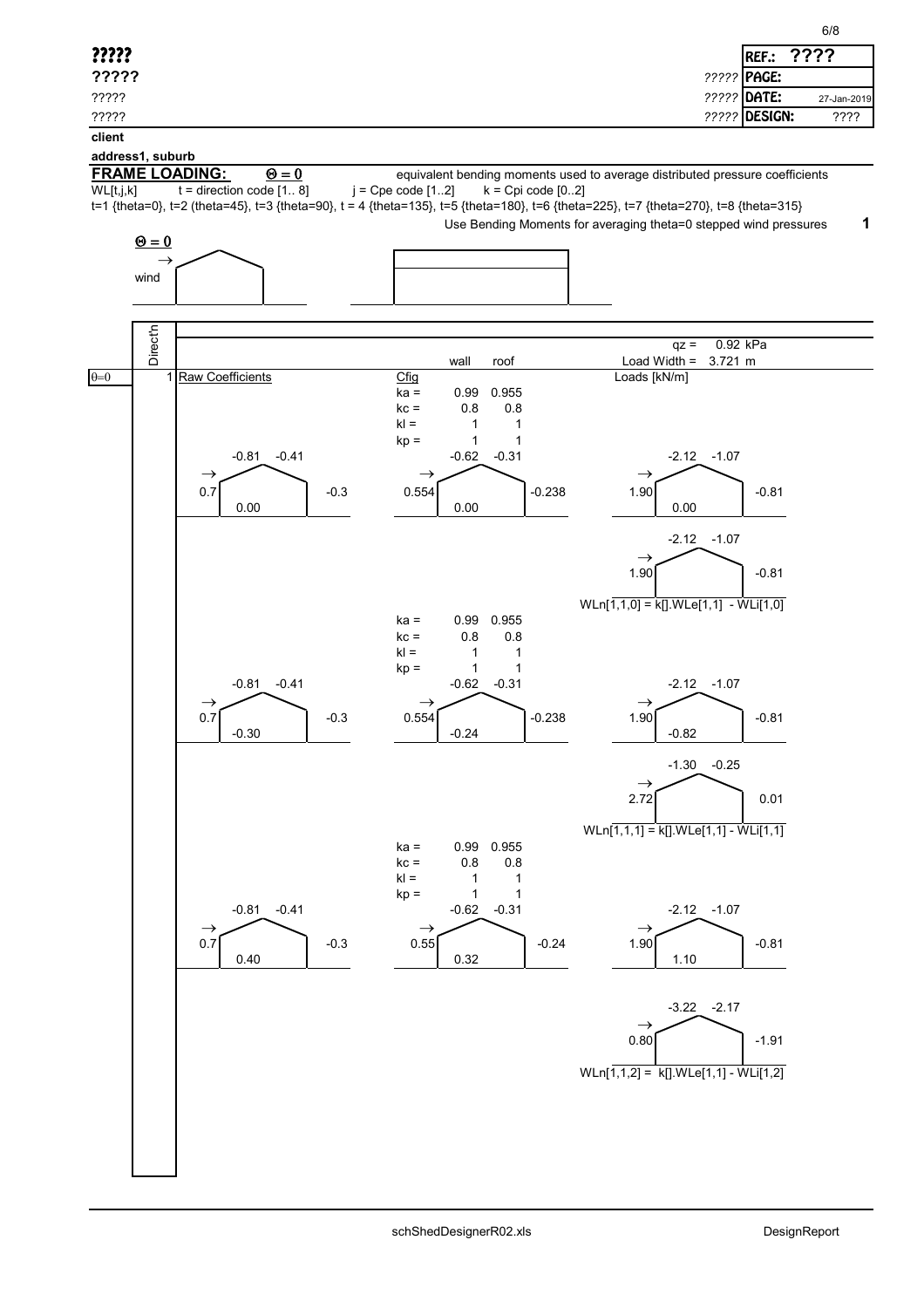| 7722<br>?????<br>REF.:<br>????? PAGE:<br>?????<br>????? DATE:<br>?????<br>27-Jan-2019<br><b>????? DESIGN:</b><br>????<br>?????<br>client<br><b>FRAME LOADING:</b><br>$\Theta = 0$<br>equivalent bending moments used to average distributed pressure coefficients<br>WL[t,j,k]<br>$t =$ direction code $[1 8]$<br>$j = Cpe code [12]$<br>$k = Cpi code [02]$<br>t=1 {theta=0}, t=2 (theta=45}, t=3 {theta=90}, t = 4 {theta=135}, t=5 {theta=180}, t=6 {theta=225}, t=7 {theta=270}, t=8 {theta=315}<br>Use Bending Moments for averaging theta=0 stepped wind pressures<br>$\mathbf 1$<br>$\underline{\Theta} = 0$<br>$\rightarrow$<br>wind<br><b>Direct'n</b><br>0.92 kPa<br>$qz =$<br>Load Width =<br>wall<br>3.721 m<br>roof<br>1 Raw Coefficients<br>$C$ fig<br>Loads [kN/m]<br>$ka =$<br>0.955<br>0.99<br>0.8<br>0.8<br>$kc =$<br>$kl =$<br>1<br>1<br>$kp =$<br>1<br>1<br>$-0.41$<br>$-2.12$<br>$-1.07$<br>$-0.81$<br>$-0.62$<br>$-0.31$<br>$\rightarrow$<br>$\rightarrow$<br>$\rightarrow$<br>0.7<br>$-0.238$<br>1.90<br>$-0.3$<br>0.554<br>$-0.81$<br>0.00<br>0.00<br>0.00<br>$-1.07$<br>$-2.12$<br>$\rightarrow$<br>1.90<br>$-0.81$<br>$WLn[1,1,0] = k[].WLe[1,1] - WL[1,0]$<br>0.99<br>0.955<br>$ka =$<br>0.8<br>0.8<br>$kc =$<br>$kl =$<br>1<br>1<br>1<br>1<br>$kp =$<br>$-0.41$<br>$-0.81$<br>$-0.62$<br>$-0.31$<br>$-2.12 -1.07$<br>$\rightarrow$<br>$\rightarrow$<br>$\rightarrow$<br>0.554<br>$-0.81$<br>0.7<br>1.90<br>$-0.238$<br>-0.3<br>$-0.30$<br>$-0.24$<br>$-0.82$<br>$-0.25$<br>$-1.30$<br>$\rightarrow$<br>2.72<br>0.01<br>$WLn[1,1,1] = k[] WLe[1,1] - WL[1,1]$<br>0.99 0.955<br>$ka =$<br>$kc =$<br>$0.8\,$<br>0.8<br>$kl =$<br>1<br>$\mathbf{1}$<br>$\mathbf{1}$<br>$kp =$<br>1<br>$-0.41$<br>$-2.12 - 1.07$<br>$-0.81$<br>$-0.31$<br>$-0.62$<br>$\rightarrow$<br>$\rightarrow$<br>$\rightarrow$<br>0.7<br>1.90<br>0.55<br>$-0.3$<br>$-0.24$<br>$-0.81$<br>0.32<br>0.40<br>1.10<br>$-3.22 -2.17$<br>$\rightarrow$<br>0.80<br>$-1.91$<br>WLn[ $1,1,2$ ] = k[].WLe[ $1,1$ ] - WLi[ $1,2$ ] |                  | 6/8 |
|---------------------------------------------------------------------------------------------------------------------------------------------------------------------------------------------------------------------------------------------------------------------------------------------------------------------------------------------------------------------------------------------------------------------------------------------------------------------------------------------------------------------------------------------------------------------------------------------------------------------------------------------------------------------------------------------------------------------------------------------------------------------------------------------------------------------------------------------------------------------------------------------------------------------------------------------------------------------------------------------------------------------------------------------------------------------------------------------------------------------------------------------------------------------------------------------------------------------------------------------------------------------------------------------------------------------------------------------------------------------------------------------------------------------------------------------------------------------------------------------------------------------------------------------------------------------------------------------------------------------------------------------------------------------------------------------------------------------------------------------------------------------------------------------------------------------------------------------------------------------------------------------------------------------------------------------------------------------------------------------------------------------|------------------|-----|
|                                                                                                                                                                                                                                                                                                                                                                                                                                                                                                                                                                                                                                                                                                                                                                                                                                                                                                                                                                                                                                                                                                                                                                                                                                                                                                                                                                                                                                                                                                                                                                                                                                                                                                                                                                                                                                                                                                                                                                                                                     |                  |     |
|                                                                                                                                                                                                                                                                                                                                                                                                                                                                                                                                                                                                                                                                                                                                                                                                                                                                                                                                                                                                                                                                                                                                                                                                                                                                                                                                                                                                                                                                                                                                                                                                                                                                                                                                                                                                                                                                                                                                                                                                                     |                  |     |
|                                                                                                                                                                                                                                                                                                                                                                                                                                                                                                                                                                                                                                                                                                                                                                                                                                                                                                                                                                                                                                                                                                                                                                                                                                                                                                                                                                                                                                                                                                                                                                                                                                                                                                                                                                                                                                                                                                                                                                                                                     |                  |     |
|                                                                                                                                                                                                                                                                                                                                                                                                                                                                                                                                                                                                                                                                                                                                                                                                                                                                                                                                                                                                                                                                                                                                                                                                                                                                                                                                                                                                                                                                                                                                                                                                                                                                                                                                                                                                                                                                                                                                                                                                                     |                  |     |
|                                                                                                                                                                                                                                                                                                                                                                                                                                                                                                                                                                                                                                                                                                                                                                                                                                                                                                                                                                                                                                                                                                                                                                                                                                                                                                                                                                                                                                                                                                                                                                                                                                                                                                                                                                                                                                                                                                                                                                                                                     | address1, suburb |     |
|                                                                                                                                                                                                                                                                                                                                                                                                                                                                                                                                                                                                                                                                                                                                                                                                                                                                                                                                                                                                                                                                                                                                                                                                                                                                                                                                                                                                                                                                                                                                                                                                                                                                                                                                                                                                                                                                                                                                                                                                                     |                  |     |
|                                                                                                                                                                                                                                                                                                                                                                                                                                                                                                                                                                                                                                                                                                                                                                                                                                                                                                                                                                                                                                                                                                                                                                                                                                                                                                                                                                                                                                                                                                                                                                                                                                                                                                                                                                                                                                                                                                                                                                                                                     |                  |     |
|                                                                                                                                                                                                                                                                                                                                                                                                                                                                                                                                                                                                                                                                                                                                                                                                                                                                                                                                                                                                                                                                                                                                                                                                                                                                                                                                                                                                                                                                                                                                                                                                                                                                                                                                                                                                                                                                                                                                                                                                                     |                  |     |
|                                                                                                                                                                                                                                                                                                                                                                                                                                                                                                                                                                                                                                                                                                                                                                                                                                                                                                                                                                                                                                                                                                                                                                                                                                                                                                                                                                                                                                                                                                                                                                                                                                                                                                                                                                                                                                                                                                                                                                                                                     |                  |     |
|                                                                                                                                                                                                                                                                                                                                                                                                                                                                                                                                                                                                                                                                                                                                                                                                                                                                                                                                                                                                                                                                                                                                                                                                                                                                                                                                                                                                                                                                                                                                                                                                                                                                                                                                                                                                                                                                                                                                                                                                                     |                  |     |
|                                                                                                                                                                                                                                                                                                                                                                                                                                                                                                                                                                                                                                                                                                                                                                                                                                                                                                                                                                                                                                                                                                                                                                                                                                                                                                                                                                                                                                                                                                                                                                                                                                                                                                                                                                                                                                                                                                                                                                                                                     |                  |     |
|                                                                                                                                                                                                                                                                                                                                                                                                                                                                                                                                                                                                                                                                                                                                                                                                                                                                                                                                                                                                                                                                                                                                                                                                                                                                                                                                                                                                                                                                                                                                                                                                                                                                                                                                                                                                                                                                                                                                                                                                                     |                  |     |
|                                                                                                                                                                                                                                                                                                                                                                                                                                                                                                                                                                                                                                                                                                                                                                                                                                                                                                                                                                                                                                                                                                                                                                                                                                                                                                                                                                                                                                                                                                                                                                                                                                                                                                                                                                                                                                                                                                                                                                                                                     |                  |     |
|                                                                                                                                                                                                                                                                                                                                                                                                                                                                                                                                                                                                                                                                                                                                                                                                                                                                                                                                                                                                                                                                                                                                                                                                                                                                                                                                                                                                                                                                                                                                                                                                                                                                                                                                                                                                                                                                                                                                                                                                                     | $\theta = 0$     |     |
|                                                                                                                                                                                                                                                                                                                                                                                                                                                                                                                                                                                                                                                                                                                                                                                                                                                                                                                                                                                                                                                                                                                                                                                                                                                                                                                                                                                                                                                                                                                                                                                                                                                                                                                                                                                                                                                                                                                                                                                                                     |                  |     |
|                                                                                                                                                                                                                                                                                                                                                                                                                                                                                                                                                                                                                                                                                                                                                                                                                                                                                                                                                                                                                                                                                                                                                                                                                                                                                                                                                                                                                                                                                                                                                                                                                                                                                                                                                                                                                                                                                                                                                                                                                     |                  |     |
|                                                                                                                                                                                                                                                                                                                                                                                                                                                                                                                                                                                                                                                                                                                                                                                                                                                                                                                                                                                                                                                                                                                                                                                                                                                                                                                                                                                                                                                                                                                                                                                                                                                                                                                                                                                                                                                                                                                                                                                                                     |                  |     |
|                                                                                                                                                                                                                                                                                                                                                                                                                                                                                                                                                                                                                                                                                                                                                                                                                                                                                                                                                                                                                                                                                                                                                                                                                                                                                                                                                                                                                                                                                                                                                                                                                                                                                                                                                                                                                                                                                                                                                                                                                     |                  |     |
|                                                                                                                                                                                                                                                                                                                                                                                                                                                                                                                                                                                                                                                                                                                                                                                                                                                                                                                                                                                                                                                                                                                                                                                                                                                                                                                                                                                                                                                                                                                                                                                                                                                                                                                                                                                                                                                                                                                                                                                                                     |                  |     |
|                                                                                                                                                                                                                                                                                                                                                                                                                                                                                                                                                                                                                                                                                                                                                                                                                                                                                                                                                                                                                                                                                                                                                                                                                                                                                                                                                                                                                                                                                                                                                                                                                                                                                                                                                                                                                                                                                                                                                                                                                     |                  |     |
|                                                                                                                                                                                                                                                                                                                                                                                                                                                                                                                                                                                                                                                                                                                                                                                                                                                                                                                                                                                                                                                                                                                                                                                                                                                                                                                                                                                                                                                                                                                                                                                                                                                                                                                                                                                                                                                                                                                                                                                                                     |                  |     |
|                                                                                                                                                                                                                                                                                                                                                                                                                                                                                                                                                                                                                                                                                                                                                                                                                                                                                                                                                                                                                                                                                                                                                                                                                                                                                                                                                                                                                                                                                                                                                                                                                                                                                                                                                                                                                                                                                                                                                                                                                     |                  |     |
|                                                                                                                                                                                                                                                                                                                                                                                                                                                                                                                                                                                                                                                                                                                                                                                                                                                                                                                                                                                                                                                                                                                                                                                                                                                                                                                                                                                                                                                                                                                                                                                                                                                                                                                                                                                                                                                                                                                                                                                                                     |                  |     |
|                                                                                                                                                                                                                                                                                                                                                                                                                                                                                                                                                                                                                                                                                                                                                                                                                                                                                                                                                                                                                                                                                                                                                                                                                                                                                                                                                                                                                                                                                                                                                                                                                                                                                                                                                                                                                                                                                                                                                                                                                     |                  |     |
|                                                                                                                                                                                                                                                                                                                                                                                                                                                                                                                                                                                                                                                                                                                                                                                                                                                                                                                                                                                                                                                                                                                                                                                                                                                                                                                                                                                                                                                                                                                                                                                                                                                                                                                                                                                                                                                                                                                                                                                                                     |                  |     |
|                                                                                                                                                                                                                                                                                                                                                                                                                                                                                                                                                                                                                                                                                                                                                                                                                                                                                                                                                                                                                                                                                                                                                                                                                                                                                                                                                                                                                                                                                                                                                                                                                                                                                                                                                                                                                                                                                                                                                                                                                     |                  |     |
|                                                                                                                                                                                                                                                                                                                                                                                                                                                                                                                                                                                                                                                                                                                                                                                                                                                                                                                                                                                                                                                                                                                                                                                                                                                                                                                                                                                                                                                                                                                                                                                                                                                                                                                                                                                                                                                                                                                                                                                                                     |                  |     |
|                                                                                                                                                                                                                                                                                                                                                                                                                                                                                                                                                                                                                                                                                                                                                                                                                                                                                                                                                                                                                                                                                                                                                                                                                                                                                                                                                                                                                                                                                                                                                                                                                                                                                                                                                                                                                                                                                                                                                                                                                     |                  |     |
|                                                                                                                                                                                                                                                                                                                                                                                                                                                                                                                                                                                                                                                                                                                                                                                                                                                                                                                                                                                                                                                                                                                                                                                                                                                                                                                                                                                                                                                                                                                                                                                                                                                                                                                                                                                                                                                                                                                                                                                                                     |                  |     |
|                                                                                                                                                                                                                                                                                                                                                                                                                                                                                                                                                                                                                                                                                                                                                                                                                                                                                                                                                                                                                                                                                                                                                                                                                                                                                                                                                                                                                                                                                                                                                                                                                                                                                                                                                                                                                                                                                                                                                                                                                     |                  |     |
|                                                                                                                                                                                                                                                                                                                                                                                                                                                                                                                                                                                                                                                                                                                                                                                                                                                                                                                                                                                                                                                                                                                                                                                                                                                                                                                                                                                                                                                                                                                                                                                                                                                                                                                                                                                                                                                                                                                                                                                                                     |                  |     |
|                                                                                                                                                                                                                                                                                                                                                                                                                                                                                                                                                                                                                                                                                                                                                                                                                                                                                                                                                                                                                                                                                                                                                                                                                                                                                                                                                                                                                                                                                                                                                                                                                                                                                                                                                                                                                                                                                                                                                                                                                     |                  |     |
|                                                                                                                                                                                                                                                                                                                                                                                                                                                                                                                                                                                                                                                                                                                                                                                                                                                                                                                                                                                                                                                                                                                                                                                                                                                                                                                                                                                                                                                                                                                                                                                                                                                                                                                                                                                                                                                                                                                                                                                                                     |                  |     |
|                                                                                                                                                                                                                                                                                                                                                                                                                                                                                                                                                                                                                                                                                                                                                                                                                                                                                                                                                                                                                                                                                                                                                                                                                                                                                                                                                                                                                                                                                                                                                                                                                                                                                                                                                                                                                                                                                                                                                                                                                     |                  |     |
|                                                                                                                                                                                                                                                                                                                                                                                                                                                                                                                                                                                                                                                                                                                                                                                                                                                                                                                                                                                                                                                                                                                                                                                                                                                                                                                                                                                                                                                                                                                                                                                                                                                                                                                                                                                                                                                                                                                                                                                                                     |                  |     |
|                                                                                                                                                                                                                                                                                                                                                                                                                                                                                                                                                                                                                                                                                                                                                                                                                                                                                                                                                                                                                                                                                                                                                                                                                                                                                                                                                                                                                                                                                                                                                                                                                                                                                                                                                                                                                                                                                                                                                                                                                     |                  |     |
|                                                                                                                                                                                                                                                                                                                                                                                                                                                                                                                                                                                                                                                                                                                                                                                                                                                                                                                                                                                                                                                                                                                                                                                                                                                                                                                                                                                                                                                                                                                                                                                                                                                                                                                                                                                                                                                                                                                                                                                                                     |                  |     |
|                                                                                                                                                                                                                                                                                                                                                                                                                                                                                                                                                                                                                                                                                                                                                                                                                                                                                                                                                                                                                                                                                                                                                                                                                                                                                                                                                                                                                                                                                                                                                                                                                                                                                                                                                                                                                                                                                                                                                                                                                     |                  |     |
|                                                                                                                                                                                                                                                                                                                                                                                                                                                                                                                                                                                                                                                                                                                                                                                                                                                                                                                                                                                                                                                                                                                                                                                                                                                                                                                                                                                                                                                                                                                                                                                                                                                                                                                                                                                                                                                                                                                                                                                                                     |                  |     |
|                                                                                                                                                                                                                                                                                                                                                                                                                                                                                                                                                                                                                                                                                                                                                                                                                                                                                                                                                                                                                                                                                                                                                                                                                                                                                                                                                                                                                                                                                                                                                                                                                                                                                                                                                                                                                                                                                                                                                                                                                     |                  |     |
|                                                                                                                                                                                                                                                                                                                                                                                                                                                                                                                                                                                                                                                                                                                                                                                                                                                                                                                                                                                                                                                                                                                                                                                                                                                                                                                                                                                                                                                                                                                                                                                                                                                                                                                                                                                                                                                                                                                                                                                                                     |                  |     |
|                                                                                                                                                                                                                                                                                                                                                                                                                                                                                                                                                                                                                                                                                                                                                                                                                                                                                                                                                                                                                                                                                                                                                                                                                                                                                                                                                                                                                                                                                                                                                                                                                                                                                                                                                                                                                                                                                                                                                                                                                     |                  |     |
|                                                                                                                                                                                                                                                                                                                                                                                                                                                                                                                                                                                                                                                                                                                                                                                                                                                                                                                                                                                                                                                                                                                                                                                                                                                                                                                                                                                                                                                                                                                                                                                                                                                                                                                                                                                                                                                                                                                                                                                                                     |                  |     |
|                                                                                                                                                                                                                                                                                                                                                                                                                                                                                                                                                                                                                                                                                                                                                                                                                                                                                                                                                                                                                                                                                                                                                                                                                                                                                                                                                                                                                                                                                                                                                                                                                                                                                                                                                                                                                                                                                                                                                                                                                     |                  |     |
|                                                                                                                                                                                                                                                                                                                                                                                                                                                                                                                                                                                                                                                                                                                                                                                                                                                                                                                                                                                                                                                                                                                                                                                                                                                                                                                                                                                                                                                                                                                                                                                                                                                                                                                                                                                                                                                                                                                                                                                                                     |                  |     |
|                                                                                                                                                                                                                                                                                                                                                                                                                                                                                                                                                                                                                                                                                                                                                                                                                                                                                                                                                                                                                                                                                                                                                                                                                                                                                                                                                                                                                                                                                                                                                                                                                                                                                                                                                                                                                                                                                                                                                                                                                     |                  |     |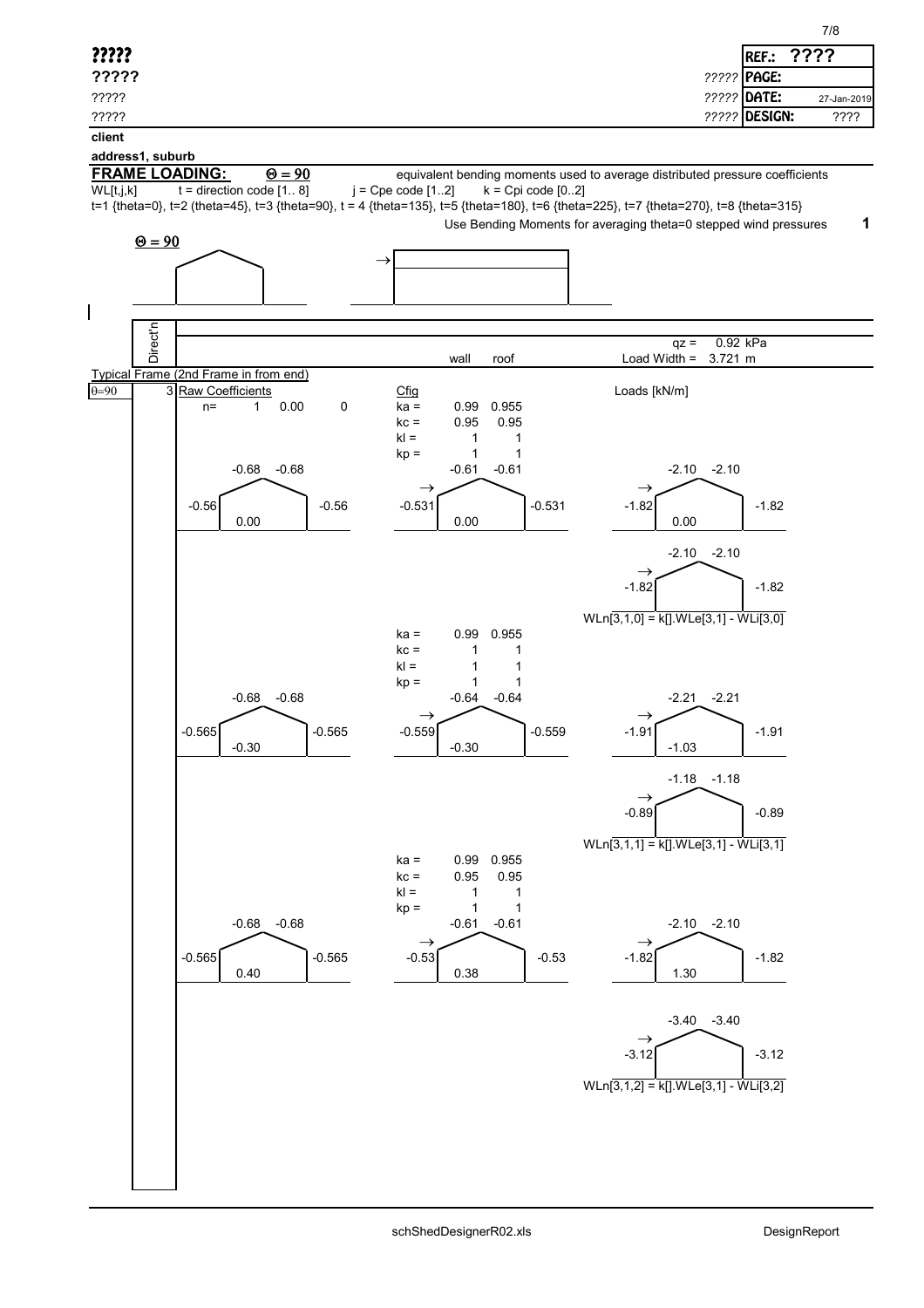|                                                                                                                                      |                                                                              | 7/8                        |
|--------------------------------------------------------------------------------------------------------------------------------------|------------------------------------------------------------------------------|----------------------------|
| ?????                                                                                                                                |                                                                              | ????<br>REF.:              |
| ?????                                                                                                                                |                                                                              | ????? PAGE:                |
| ?????                                                                                                                                |                                                                              | ????? DATE:<br>27-Jan-2019 |
| ?????                                                                                                                                |                                                                              | ????? DESIGN:<br>????      |
| client                                                                                                                               |                                                                              |                            |
| address1, suburb<br><b>FRAME LOADING:</b><br>$\Theta = 90$                                                                           | equivalent bending moments used to average distributed pressure coefficients |                            |
| $t =$ direction code $[1 8]$<br>WL[t,j,k]                                                                                            | $j = Cpe code [12]$<br>$k = Cpi code [02]$                                   |                            |
| t=1 {theta=0}, t=2 (theta=45), t=3 {theta=90}, t = 4 {theta=135}, t=5 {theta=180}, t=6 {theta=225}, t=7 {theta=270}, t=8 {theta=315} | Use Bending Moments for averaging theta=0 stepped wind pressures             | 1                          |
| $\underline{\Theta} = 90$                                                                                                            |                                                                              |                            |
| $\rightarrow$                                                                                                                        |                                                                              |                            |
|                                                                                                                                      |                                                                              |                            |
| $\mathsf I$                                                                                                                          |                                                                              |                            |
| Direct'n                                                                                                                             |                                                                              |                            |
|                                                                                                                                      | $qz =$<br>wall<br>Load Width $=$<br>roof                                     | 0.92 kPa<br>3.721 m        |
| Typical Frame (2nd Frame in from end)                                                                                                |                                                                              |                            |
| 3 Raw Coefficients<br>$\overline{\theta=90}$<br>$\pmb{0}$<br>0.00<br>$\mathbf{1}$<br>$n=$                                            | Loads [kN/m]<br>Cfig<br>0.955<br>$ka =$<br>0.99                              |                            |
|                                                                                                                                      | $kc =$<br>0.95<br>0.95                                                       |                            |
|                                                                                                                                      | $kl =$<br>$\mathbf{1}$<br>$\mathbf{1}$<br>$\mathbf{1}$<br>1<br>$kp =$        |                            |
| $-0.68$<br>$-0.68$                                                                                                                   | $-0.61$<br>$-2.10$<br>$-0.61$                                                | $-2.10$                    |
| $-0.56$<br>$-0.56$                                                                                                                   | $\rightarrow$<br>$\rightarrow$<br>$-0.531$<br>$-1.82$<br>$-0.531$            | $-1.82$                    |
| 0.00                                                                                                                                 | 0.00<br>0.00                                                                 |                            |
|                                                                                                                                      | $-2.10$                                                                      | $-2.10$                    |
|                                                                                                                                      | $\rightarrow$                                                                |                            |
|                                                                                                                                      | $-1.82$                                                                      | $-1.82$                    |
|                                                                                                                                      | WLn[3,1,0] = k[] WLe[3,1] - WLi[3,0]                                         |                            |
|                                                                                                                                      | 0.955<br>$ka =$<br>0.99<br>$kc =$<br>1<br>1                                  |                            |
|                                                                                                                                      | $kl =$<br>1<br>1                                                             |                            |
| $-0.68$<br>$-0.68$                                                                                                                   | $\mathbf{1}$<br>1<br>$kp =$<br>$-0.64$<br>$-2.21$<br>$-0.64$                 | $-2.21$                    |
|                                                                                                                                      | $\rightarrow$<br>$\rightarrow$                                               |                            |
| $-0.565$<br>$-0.565$                                                                                                                 | $-0.559$<br>$-1.91$<br>$-0.559$                                              | $-1.91$                    |
| $-0.30$                                                                                                                              | $-0.30$<br>$-1.03$                                                           |                            |
|                                                                                                                                      |                                                                              | $-1.18 - 1.18$             |
|                                                                                                                                      | $\rightarrow$<br>$-0.89$                                                     | $-0.89$                    |
|                                                                                                                                      |                                                                              |                            |
|                                                                                                                                      | WLn[3,1,1] = k[] WLe[3,1] - WLi[3,1]<br>0.955<br>$ka =$<br>0.99              |                            |
|                                                                                                                                      | 0.95<br>$kc =$<br>0.95                                                       |                            |
|                                                                                                                                      | $kl =$<br>$\mathbf 1$<br>$\mathbf{1}$<br>$\mathbf{1}$<br>1<br>$kp =$         |                            |
| $-0.68$<br>$-0.68$                                                                                                                   | $-0.61$<br>$-0.61$                                                           | $-2.10 -2.10$              |
| $-0.565$<br>$-0.565$                                                                                                                 | $\rightarrow$<br>$\rightarrow$<br>$-0.53$<br>$-1.82$<br>$-0.53$              | $-1.82$                    |
| 0.40                                                                                                                                 | 0.38<br>1.30                                                                 |                            |
|                                                                                                                                      |                                                                              |                            |
|                                                                                                                                      |                                                                              | $-3.40 -3.40$              |
|                                                                                                                                      | $\rightarrow$<br>$-3.12$                                                     | $-3.12$                    |
|                                                                                                                                      |                                                                              |                            |
|                                                                                                                                      | WLn[3,1,2] = k[] WLe[3,1] - WLi[3,2]                                         |                            |
|                                                                                                                                      |                                                                              |                            |
|                                                                                                                                      |                                                                              |                            |
|                                                                                                                                      |                                                                              |                            |
|                                                                                                                                      |                                                                              |                            |